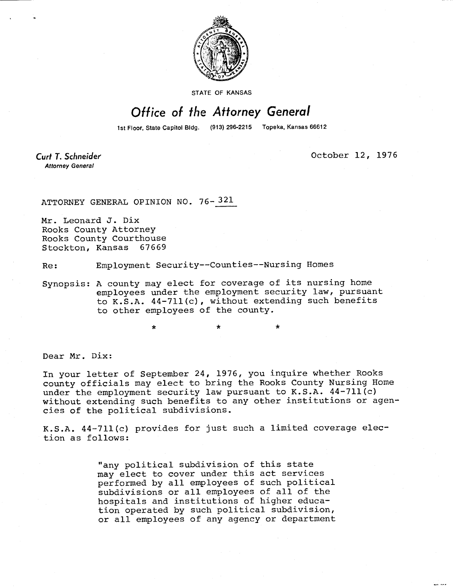

STATE OF KANSAS

## Office of the Attorney General

1st Floor, State Capitol Bldg. (913) 296-2215 Topeka, Kansas 66612

Curt T. Schneider **Attorney General** 

October 12, 1976

ATTORNEY GENERAL OPINION NO. 76-321

Mr. Leonard J. Dix Rooks County Attorney Rooks County Courthouse Stockton, Kansas 67669

Re: Employment Security--Counties--Nursing Homes

\* \*

Synopsis: A county may elect for coverage of its nursing home employees under the employment security law, pursuant to K.S.A. 44-711(c), without extending such benefits to other employees of the county.

Dear Mr. Dix:

In your letter of September 24, 1976, you inquire whether Rooks county officials may elect to bring the Rooks County Nursing Home under the employment security law pursuant to K.S.A. 44-711(c) without extending such benefits to any other institutions or agencies of the political subdivisions.

K.S.A. 44-711(c) provides for just such a limited coverage election as follows:

> "any political subdivision of this state may elect to cover under this act services performed by all employees of such political subdivisions or all employees of all of the hospitals and institutions of higher education operated by such political subdivision, or all employees of any agency or department